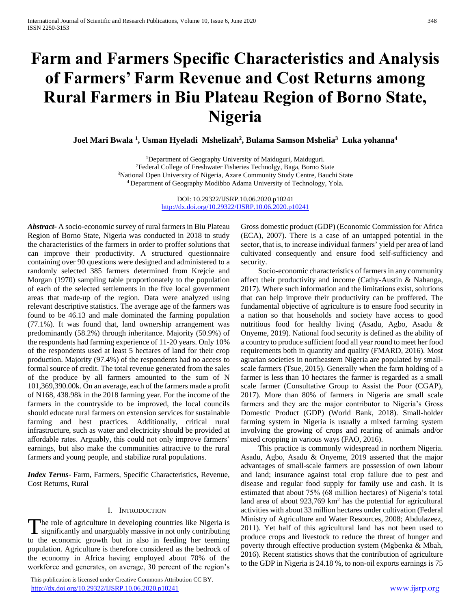# **Farm and Farmers Specific Characteristics and Analysis of Farmers' Farm Revenue and Cost Returns among Rural Farmers in Biu Plateau Region of Borno State, Nigeria**

**Joel Mari Bwala <sup>1</sup> , Usman Hyeladi Mshelizah<sup>2</sup> , Bulama Samson Mshelia<sup>3</sup> Luka yohanna<sup>4</sup>**

<sup>1</sup>Department of Geography University of Maiduguri, Maiduguri. Federal College of Freshwater Fisheries Technolgy, Baga, Borno State National Open University of Nigeria, Azare Community Study Centre, Bauchi State Department of Geography Modibbo Adama University of Technology, Yola.

> DOI: 10.29322/IJSRP.10.06.2020.p10241 <http://dx.doi.org/10.29322/IJSRP.10.06.2020.p10241>

*Abstract***-** A socio-economic survey of rural farmers in Biu Plateau Region of Borno State, Nigeria was conducted in 2018 to study the characteristics of the farmers in order to proffer solutions that can improve their productivity. A structured questionnaire containing over 90 questions were designed and administered to a randomly selected 385 farmers determined from Krejcie and Morgan (1970) sampling table proportionately to the population of each of the selected settlements in the five local government areas that made-up of the region. Data were analyzed using relevant descriptive statistics. The average age of the farmers was found to be 46.13 and male dominated the farming population (77.1%). It was found that, land ownership arrangement was predominantly (58.2%) through inheritance. Majority (50.9%) of the respondents had farming experience of 11-20 years. Only 10% of the respondents used at least 5 hectares of land for their crop production. Majority (97.4%) of the respondents had no access to formal source of credit. The total revenue generated from the sales of the produce by all farmers amounted to the sum of N 101,369,390.00k. On an average, each of the farmers made a profit of N168, 438.98k in the 2018 farming year. For the income of the farmers in the countryside to be improved, the local councils should educate rural farmers on extension services for sustainable farming and best practices. Additionally, critical rural infrastructure, such as water and electricity should be provided at affordable rates. Arguably, this could not only improve farmers' earnings, but also make the communities attractive to the rural farmers and young people, and stabilize rural populations.

*Index Terms*- Farm, Farmers, Specific Characteristics, Revenue, Cost Returns, Rural

## I. INTRODUCTION

he role of agriculture in developing countries like Nigeria is The role of agriculture in developing countries like Nigeria is significantly and unarguably massive in not only contributing to the economic growth but in also in feeding her teeming population. Agriculture is therefore considered as the bedrock of the economy in Africa having employed about 70% of the workforce and generates, on average, 30 percent of the region's

 This publication is licensed under Creative Commons Attribution CC BY. <http://dx.doi.org/10.29322/IJSRP.10.06.2020.p10241> [www.ijsrp.org](http://ijsrp.org/)

Gross domestic product (GDP) (Economic Commission for Africa (ECA), 2007). There is a case of an untapped potential in the sector, that is, to increase individual farmers' yield per area of land cultivated consequently and ensure food self-sufficiency and security.

 Socio-economic characteristics of farmers in any community affect their productivity and income (Cathy-Austin & Nahanga, 2017). Where such information and the limitations exist, solutions that can help improve their productivity can be proffered. The fundamental objective of agriculture is to ensure food security in a nation so that households and society have access to good nutritious food for healthy living (Asadu, Agbo, Asadu & Onyeme, 2019). National food security is defined as the ability of a country to produce sufficient food all year round to meet her food requirements both in quantity and quality (FMARD, 2016). Most agrarian societies in northeastern Nigeria are populated by smallscale farmers (Tsue, 2015). Generally when the farm holding of a farmer is less than 10 hectares the farmer is regarded as a small scale farmer (Consultative Group to Assist the Poor (CGAP), 2017). More than 80% of farmers in Nigeria are small scale farmers and they are the major contributor to Nigeria's Gross Domestic Product (GDP) (World Bank, 2018). Small-holder farming system in Nigeria is usually a mixed farming system involving the growing of crops and rearing of animals and/or mixed cropping in various ways (FAO, 2016).

 This practice is commonly widespread in northern Nigeria. Asadu, Agbo, Asadu & Onyeme, 2019 asserted that the major advantages of small-scale farmers are possession of own labour and land; insurance against total crop failure due to pest and disease and regular food supply for family use and cash. It is estimated that about 75% (68 million hectares) of Nigeria's total land area of about  $923,769 \text{ km}^2$  has the potential for agricultural activities with about 33 million hectares under cultivation (Federal Ministry of Agriculture and Water Resources, 2008; Abdulazeez, 2011). Yet half of this agricultural land has not been used to produce crops and livestock to reduce the threat of hunger and poverty through effective production system (Mgbenka & Mbah, 2016). Recent statistics shows that the contribution of agriculture to the GDP in Nigeria is 24.18 %, to non-oil exports earnings is 75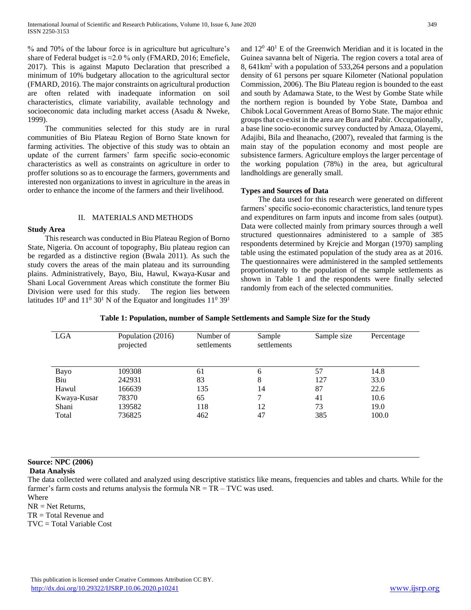% and 70% of the labour force is in agriculture but agriculture's share of Federal budget is  $\approx$  2.0 % only (FMARD, 2016; Emefiele, 2017). This is against Maputo Declaration that prescribed a minimum of 10% budgetary allocation to the agricultural sector (FMARD, 2016). The major constraints on agricultural production are often related with inadequate information on soil characteristics, climate variability, available technology and socioeconomic data including market access (Asadu & Nweke, 1999).

 The communities selected for this study are in rural communities of Biu Plateau Region of Borno State known for farming activities. The objective of this study was to obtain an update of the current farmers' farm specific socio-economic characteristics as well as constraints on agriculture in order to proffer solutions so as to encourage the farmers, governments and interested non organizations to invest in agriculture in the areas in order to enhance the income of the farmers and their livelihood.

### II. MATERIALS AND METHODS

## **Study Area**

 This research was conducted in Biu Plateau Region of Borno State, Nigeria. On account of topography, Biu plateau region can be regarded as a distinctive region (Bwala 2011). As such the study covers the areas of the main plateau and its surrounding plains. Administratively, Bayo, Biu, Hawul, Kwaya-Kusar and Shani Local Government Areas which constitute the former Biu Division were used for this study. The region lies between latitudes  $10^0$  and  $11^0$  30<sup>1</sup> N of the Equator and longitudes  $11^0$  39<sup>1</sup>

and  $12^0$  40<sup>1</sup> E of the Greenwich Meridian and it is located in the Guinea savanna belt of Nigeria. The region covers a total area of 8, 641km<sup>2</sup> with a population of 533,264 persons and a population density of 61 persons per square Kilometer (National population Commission, 2006). The Biu Plateau region is bounded to the east and south by Adamawa State, to the West by Gombe State while the northern region is bounded by Yobe State, Damboa and Chibok Local Government Areas of Borno State. The major ethnic groups that co-exist in the area are Bura and Pabir. Occupationally, a base line socio-economic survey conducted by Amaza, Olayemi, Adajibi, Bila and Iheanacho, (2007), revealed that farming is the main stay of the population economy and most people are subsistence farmers. Agriculture employs the larger percentage of the working population (78%) in the area, but agricultural landholdings are generally small.

## **Types and Sources of Data**

 The data used for this research were generated on different farmers' specific socio-economic characteristics, land tenure types and expenditures on farm inputs and income from sales (output). Data were collected mainly from primary sources through a well structured questionnaires administered to a sample of 385 respondents determined by Krejcie and Morgan (1970) sampling table using the estimated population of the study area as at 2016. The questionnaires were administered in the sampled settlements proportionately to the population of the sample settlements as shown in Table 1 and the respondents were finally selected randomly from each of the selected communities.

|  | Table 1: Population, number of Sample Settlements and Sample Size for the Study |  |
|--|---------------------------------------------------------------------------------|--|
|  |                                                                                 |  |

| <b>LGA</b>  | Population (2016)<br>projected | Number of<br>settlements | Sample<br>settlements | Sample size | Percentage |
|-------------|--------------------------------|--------------------------|-----------------------|-------------|------------|
| Bayo        | 109308                         | 61                       | 6                     | 57          | 14.8       |
| Biu         | 242931                         | 83                       | 8                     | 127         | 33.0       |
| Hawul       | 166639                         | 135                      | 14                    | 87          | 22.6       |
| Kwaya-Kusar | 78370                          | 65                       |                       | 41          | 10.6       |
| Shani       | 139582                         | 118                      | 12                    | 73          | 19.0       |
| Total       | 736825                         | 462                      | 47                    | 385         | 100.0      |

## **Source: NPC (2006)**

**Data Analysis**

The data collected were collated and analyzed using descriptive statistics like means, frequencies and tables and charts. While for the farmer's farm costs and returns analysis the formula  $NR = TR - TVC$  was used.

Where  $NR = Net Returns$ .

TR = Total Revenue and

TVC = Total Variable Cost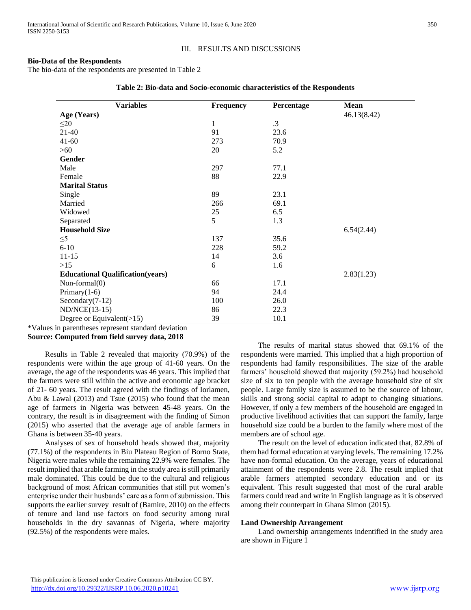## III. RESULTS AND DISCUSSIONS

## **Bio-Data of the Respondents**

The bio-data of the respondents are presented in Table 2

| <b>Variables</b>                        | <b>Frequency</b> | Percentage | Mean        |
|-----------------------------------------|------------------|------------|-------------|
| Age (Years)                             |                  |            | 46.13(8.42) |
| $\leq 20$                               | $\mathbf{1}$     | $\cdot$ 3  |             |
| $21-40$                                 | 91               | 23.6       |             |
| $41 - 60$                               | 273              | 70.9       |             |
| $>60$                                   | 20               | 5.2        |             |
| Gender                                  |                  |            |             |
| Male                                    | 297              | 77.1       |             |
| Female                                  | 88               | 22.9       |             |
| <b>Marital Status</b>                   |                  |            |             |
| Single                                  | 89               | 23.1       |             |
| Married                                 | 266              | 69.1       |             |
| Widowed                                 | 25               | 6.5        |             |
| Separated                               | 5                | 1.3        |             |
| <b>Household Size</b>                   |                  |            | 6.54(2.44)  |
| $\leq 5$                                | 137              | 35.6       |             |
| $6 - 10$                                | 228              | 59.2       |             |
| $11 - 15$                               | 14               | 3.6        |             |
| $>15$                                   | 6                | 1.6        |             |
| <b>Educational Qualification(years)</b> |                  |            | 2.83(1.23)  |
| Non-formal $(0)$                        | 66               | 17.1       |             |
| Primary $(1-6)$                         | 94               | 24.4       |             |
| Secondary $(7-12)$                      | 100              | 26.0       |             |
| $ND/NCE(13-15)$                         | 86               | 22.3       |             |
| Degree or Equivalent $(>15)$            | 39               | 10.1       |             |

|  | Table 2: Bio-data and Socio-economic characteristics of the Respondents |  |  |
|--|-------------------------------------------------------------------------|--|--|
|--|-------------------------------------------------------------------------|--|--|

\*Values in parentheses represent standard deviation **Source: Computed from field survey data, 2018**

 Results in Table 2 revealed that majority (70.9%) of the respondents were within the age group of 41-60 years. On the average, the age of the respondents was 46 years. This implied that the farmers were still within the active and economic age bracket of 21- 60 years. The result agreed with the findings of Iorlamen, Abu & Lawal (2013) and Tsue (2015) who found that the mean age of farmers in Nigeria was between 45-48 years. On the contrary, the result is in disagreement with the finding of Simon (2015) who asserted that the average age of arable farmers in Ghana is between 35-40 years.

 Analyses of sex of household heads showed that, majority (77.1%) of the respondents in Biu Plateau Region of Borno State, Nigeria were males while the remaining 22.9% were females. The result implied that arable farming in the study area is still primarily male dominated. This could be due to the cultural and religious background of most African communities that still put women's enterprise under their husbands' care as a form of submission. This supports the earlier survey result of (Bamire, 2010) on the effects of tenure and land use factors on food security among rural households in the dry savannas of Nigeria, where majority (92.5%) of the respondents were males.

 The results of marital status showed that 69.1% of the respondents were married. This implied that a high proportion of respondents had family responsibilities. The size of the arable farmers' household showed that majority (59.2%) had household size of six to ten people with the average household size of six people. Large family size is assumed to be the source of labour, skills and strong social capital to adapt to changing situations. However, if only a few members of the household are engaged in productive livelihood activities that can support the family, large household size could be a burden to the family where most of the members are of school age.

 The result on the level of education indicated that, 82.8% of them had formal education at varying levels. The remaining 17.2% have non-formal education. On the average, years of educational attainment of the respondents were 2.8. The result implied that arable farmers attempted secondary education and or its equivalent. This result suggested that most of the rural arable farmers could read and write in English language as it is observed among their counterpart in Ghana Simon (2015).

### **Land Ownership Arrangement**

 Land ownership arrangements indentified in the study area are shown in Figure 1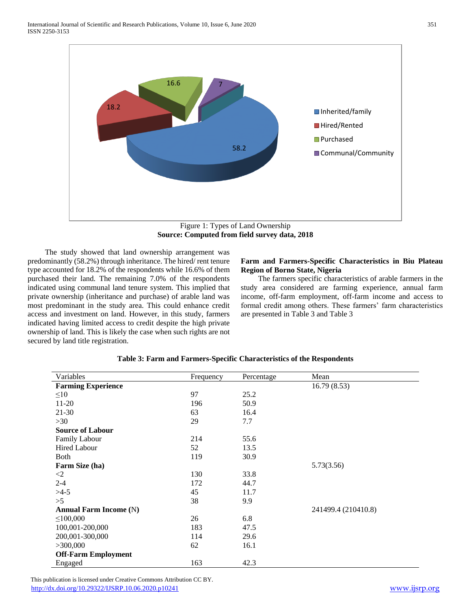

Figure 1: Types of Land Ownership **Source: Computed from field survey data, 2018**

 The study showed that land ownership arrangement was predominantly (58.2%) through inheritance. The hired/ rent tenure type accounted for 18.2% of the respondents while 16.6% of them purchased their land. The remaining 7.0% of the respondents indicated using communal land tenure system. This implied that private ownership (inheritance and purchase) of arable land was most predominant in the study area. This could enhance credit access and investment on land. However, in this study, farmers indicated having limited access to credit despite the high private ownership of land. This is likely the case when such rights are not secured by land title registration.

## **Farm and Farmers-Specific Characteristics in Biu Plateau Region of Borno State, Nigeria**

 The farmers specific characteristics of arable farmers in the study area considered are farming experience, annual farm income, off-farm employment, off-farm income and access to formal credit among others. These farmers' farm characteristics are presented in Table 3 and Table 3

| Variables                     | Frequency | Percentage | Mean                |
|-------------------------------|-----------|------------|---------------------|
| <b>Farming Experience</b>     |           |            | 16.79(8.53)         |
| $\leq 10$                     | 97        | 25.2       |                     |
| $11-20$                       | 196       | 50.9       |                     |
| $21 - 30$                     | 63        | 16.4       |                     |
| >30                           | 29        | 7.7        |                     |
| <b>Source of Labour</b>       |           |            |                     |
| <b>Family Labour</b>          | 214       | 55.6       |                     |
| Hired Labour                  | 52        | 13.5       |                     |
| <b>Both</b>                   | 119       | 30.9       |                     |
| Farm Size (ha)                |           |            | 5.73(3.56)          |
| $\langle 2 \rangle$           | 130       | 33.8       |                     |
| $2 - 4$                       | 172       | 44.7       |                     |
| $>4-5$                        | 45        | 11.7       |                     |
| >5                            | 38        | 9.9        |                     |
| <b>Annual Farm Income (N)</b> |           |            | 241499.4 (210410.8) |
| $\leq 100,000$                | 26        | 6.8        |                     |
| 100,001-200,000               | 183       | 47.5       |                     |
| 200,001-300,000               | 114       | 29.6       |                     |
| >300,000                      | 62        | 16.1       |                     |
| <b>Off-Farm Employment</b>    |           |            |                     |
| Engaged                       | 163       | 42.3       |                     |

## **Table 3: Farm and Farmers-Specific Characteristics of the Respondents**

 This publication is licensed under Creative Commons Attribution CC BY. <http://dx.doi.org/10.29322/IJSRP.10.06.2020.p10241> [www.ijsrp.org](http://ijsrp.org/)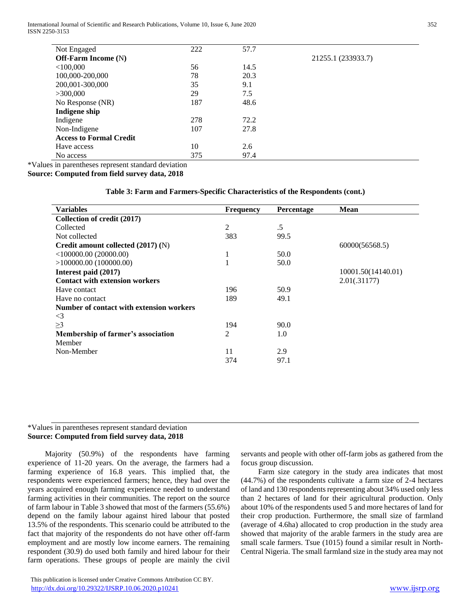International Journal of Scientific and Research Publications, Volume 10, Issue 6, June 2020 352 ISSN 2250-3153

| Not Engaged                    | 222 | 57.7 |                    |
|--------------------------------|-----|------|--------------------|
| <b>Off-Farm Income (N)</b>     |     |      | 21255.1 (233933.7) |
| $<$ 100,000                    | 56  | 14.5 |                    |
| 100,000-200,000                | 78  | 20.3 |                    |
| 200,001-300,000                | 35  | 9.1  |                    |
| >300,000                       | 29  | 7.5  |                    |
| No Response (NR)               | 187 | 48.6 |                    |
| Indigene ship                  |     |      |                    |
| Indigene                       | 278 | 72.2 |                    |
| Non-Indigene                   | 107 | 27.8 |                    |
| <b>Access to Formal Credit</b> |     |      |                    |
| Have access                    | 10  | 2.6  |                    |
| No access                      | 375 | 97.4 |                    |

\*Values in parentheses represent standard deviation

**Source: Computed from field survey data, 2018**

## **Table 3: Farm and Farmers-Specific Characteristics of the Respondents (cont.)**

| <b>Variables</b>                         | <b>Frequency</b> | Percentage | <b>Mean</b>        |
|------------------------------------------|------------------|------------|--------------------|
| Collection of credit (2017)              |                  |            |                    |
| Collected                                | 2                | .5         |                    |
| Not collected                            | 383              | 99.5       |                    |
| Credit amount collected $(2017)$ (N)     |                  |            | 60000(56568.5)     |
| <100000.00(20000.00)                     | T                | 50.0       |                    |
| >100000.00(100000.00)                    |                  | 50.0       |                    |
| Interest paid (2017)                     |                  |            | 10001.50(14140.01) |
| <b>Contact with extension workers</b>    |                  |            | 2.01(.31177)       |
| Have contact                             | 196              | 50.9       |                    |
| Have no contact                          | 189              | 49.1       |                    |
| Number of contact with extension workers |                  |            |                    |
| $\leq$ 3                                 |                  |            |                    |
| $\geq$ 3                                 | 194              | 90.0       |                    |
| Membership of farmer's association       | 2                | 1.0        |                    |
| Member                                   |                  |            |                    |
| Non-Member                               | 11               | 2.9        |                    |
|                                          | 374              | 97.1       |                    |
|                                          |                  |            |                    |

## \*Values in parentheses represent standard deviation **Source: Computed from field survey data, 2018**

 Majority (50.9%) of the respondents have farming experience of 11-20 years. On the average, the farmers had a farming experience of 16.8 years. This implied that, the respondents were experienced farmers; hence, they had over the years acquired enough farming experience needed to understand farming activities in their communities. The report on the source of farm labour in Table 3 showed that most of the farmers (55.6%) depend on the family labour against hired labour that posted 13.5% of the respondents. This scenario could be attributed to the fact that majority of the respondents do not have other off-farm employment and are mostly low income earners. The remaining respondent (30.9) do used both family and hired labour for their farm operations. These groups of people are mainly the civil

 This publication is licensed under Creative Commons Attribution CC BY. <http://dx.doi.org/10.29322/IJSRP.10.06.2020.p10241> [www.ijsrp.org](http://ijsrp.org/)

servants and people with other off-farm jobs as gathered from the focus group discussion.

 Farm size category in the study area indicates that most (44.7%) of the respondents cultivate a farm size of 2-4 hectares of land and 130 respondents representing about 34% used only less than 2 hectares of land for their agricultural production. Only about 10% of the respondents used 5 and more hectares of land for their crop production. Furthermore, the small size of farmland (average of 4.6ha) allocated to crop production in the study area showed that majority of the arable farmers in the study area are small scale farmers. Tsue (1015) found a similar result in North-Central Nigeria. The small farmland size in the study area may not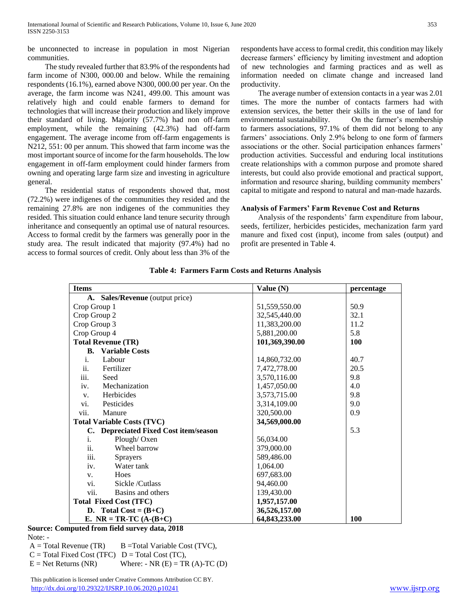be unconnected to increase in population in most Nigerian communities.

 The study revealed further that 83.9% of the respondents had farm income of N300, 000.00 and below. While the remaining respondents (16.1%), earned above N300, 000.00 per year. On the average, the farm income was N241, 499.00. This amount was relatively high and could enable farmers to demand for technologies that will increase their production and likely improve their standard of living. Majority (57.7%) had non off-farm employment, while the remaining (42.3%) had off-farm engagement. The average income from off-farm engagements is N212, 551: 00 per annum. This showed that farm income was the most important source of income for the farm households. The low engagement in off-farm employment could hinder farmers from owning and operating large farm size and investing in agriculture general.

 The residential status of respondents showed that, most (72.2%) were indigenes of the communities they resided and the remaining 27.8% are non indigenes of the communities they resided. This situation could enhance land tenure security through inheritance and consequently an optimal use of natural resources. Access to formal credit by the farmers was generally poor in the study area. The result indicated that majority (97.4%) had no access to formal sources of credit. Only about less than 3% of the

respondents have access to formal credit, this condition may likely decrease farmers' efficiency by limiting investment and adoption of new technologies and farming practices and as well as information needed on climate change and increased land productivity.

 The average number of extension contacts in a year was 2.01 times. The more the number of contacts farmers had with extension services, the better their skills in the use of land for environmental sustainability. On the farmer's membership to farmers associations, 97.1% of them did not belong to any farmers' associations. Only 2.9% belong to one form of farmers associations or the other. Social participation enhances farmers' production activities. Successful and enduring local institutions create relationships with a common purpose and promote shared interests, but could also provide emotional and practical support, information and resource sharing, building community members' capital to mitigate and respond to natural and man-made hazards.

## **Analysis of Farmers' Farm Revenue Cost and Returns**

 Analysis of the respondents' farm expenditure from labour, seeds, fertilizer, herbicides pesticides, mechanization farm yard manure and fixed cost (input), income from sales (output) and profit are presented in Table 4.

| <b>Items</b>                          | Value $(N)$    | percentage |
|---------------------------------------|----------------|------------|
| A. Sales/Revenue (output price)       |                |            |
| Crop Group 1                          | 51,559,550.00  | 50.9       |
| Crop Group 2                          | 32,545,440.00  | 32.1       |
| Crop Group 3                          | 11,383,200.00  | 11.2       |
| Crop Group 4                          | 5,881,200.00   | 5.8        |
| <b>Total Revenue (TR)</b>             | 101,369,390.00 | <b>100</b> |
| <b>B.</b> Variable Costs              |                |            |
| $\mathbf{i}$ .<br>Labour              | 14,860,732.00  | 40.7       |
| ii.<br>Fertilizer                     | 7,472,778.00   | 20.5       |
| iii.<br>Seed                          | 3,570,116.00   | 9.8        |
| iv.<br>Mechanization                  | 1,457,050.00   | 4.0        |
| Herbicides<br>V.                      | 3,573,715.00   | 9.8        |
| Pesticides<br>vi.                     | 3,314,109.00   | 9.0        |
| vii.<br>Manure                        | 320,500.00     | 0.9        |
| <b>Total Variable Costs (TVC)</b>     | 34,569,000.00  |            |
| C. Depreciated Fixed Cost item/season |                | 5.3        |
| $\mathbf{i}$ .<br>Plough/Oxen         | 56,034.00      |            |
| ii.<br>Wheel barrow                   | 379,000.00     |            |
| iii.<br><b>Sprayers</b>               | 589,486.00     |            |
| Water tank<br>iv.                     | 1,064.00       |            |
| Hoes<br>V.                            | 697,683.00     |            |
| Sickle/Cutlass<br>vi.                 | 94,460.00      |            |
| vii.<br>Basins and others             | 139,430.00     |            |
| <b>Total Fixed Cost (TFC)</b>         | 1,957,157.00   |            |
| D. Total Cost = $(B+C)$               | 36,526,157.00  |            |
| E. NR = TR-TC $(A-(B+C))$             | 64,843,233.00  | 100        |

**Table 4: Farmers Farm Costs and Returns Analysis**

## **Source: Computed from field survey data, 2018** Note: -

 $A = Total Revenue (TR)$  B =Total Variable Cost (TVC),  $C = Total Fixed Cost (TFC)$   $D = Total Cost (TC),$  $E = Net Returns (NR)$  Where: - NR  $(E) = TR (A)-TC (D)$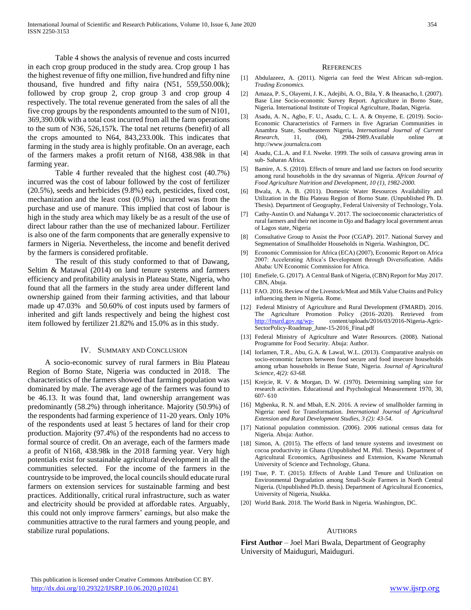Table 4 shows the analysis of revenue and costs incurred in each crop group produced in the study area. Crop group 1 has the highest revenue of fifty one million, five hundred and fifty nine thousand, five hundred and fifty naira (N51, 559,550.00k); followed by crop group 2, crop group 3 and crop group 4 respectively. The total revenue generated from the sales of all the five crop groups by the respondents amounted to the sum of N101, 369,390.00k with a total cost incurred from all the farm operations to the sum of N36, 526,157k. The total net returns (benefit) of all the crops amounted to N64, 843,233.00k. This indicates that farming in the study area is highly profitable. On an average, each of the farmers makes a profit return of N168, 438.98k in that farming year.

Table 4 further revealed that the highest cost (40.7%) incurred was the cost of labour followed by the cost of fertilizer (20.5%), seeds and herbicides (9.8%) each, pesticides, fixed cost, mechanization and the least cost (0.9%) incurred was from the purchase and use of manure. This implied that cost of labour is high in the study area which may likely be as a result of the use of direct labour rather than the use of mechanized labour. Fertilizer is also one of the farm components that are generally expensive to farmers in Nigeria. Nevertheless, the income and benefit derived by the farmers is considered profitable.

The result of this study conformed to that of Dawang, Seltim & Matawal (2014) on land tenure systems and farmers efficiency and profitability analysis in Plateau State, Nigeria, who found that all the farmers in the study area under different land ownership gained from their farming activities, and that labour made up 47.03% and 50.60% of cost inputs used by farmers of inherited and gift lands respectively and being the highest cost item followed by fertilizer 21.82% and 15.0% as in this study.

## IV. SUMMARY AND CONCLUSION

 A socio-economic survey of rural farmers in Biu Plateau Region of Borno State, Nigeria was conducted in 2018. The characteristics of the farmers showed that farming population was dominated by male. The average age of the farmers was found to be 46.13. It was found that, land ownership arrangement was predominantly (58.2%) through inheritance. Majority (50.9%) of the respondents had farming experience of 11-20 years. Only 10% of the respondents used at least 5 hectares of land for their crop production. Majority (97.4%) of the respondents had no access to formal source of credit. On an average, each of the farmers made a profit of N168, 438.98k in the 2018 farming year. Very high potentials exist for sustainable agricultural development in all the communities selected. For the income of the farmers in the countryside to be improved, the local councils should educate rural farmers on extension services for sustainable farming and best practices. Additionally, critical rural infrastructure, such as water and electricity should be provided at affordable rates. Arguably, this could not only improve farmers' earnings, but also make the communities attractive to the rural farmers and young people, and stabilize rural populations.

#### **REFERENCES**

- [1] Abdulazeez, A. (2011). Nigeria can feed the West African sub-region. *Trading Economics.*
- [2] Amaza, P. S., Olayemi, J. K., Adejibi, A. O., Bila, Y. & Iheanacho, I. (2007). Base Line Socio-economic Survey Report. Agriculture in Borno State, Nigeria. International Institute of Tropical Agriculture, Ibadan, Nigeria.
- [3] Asadu, A. N., Agbo, F. U., Asadu, C. L. A. & Onyeme, E. (2019). Socio-Economic Characteristics of Farmers in five Agrarian Communities in Anambra State, Southeastern Nigeria, *International Journal of Current Research*, 11, (04), 2984-2989.Available online at http://www.journalcra.com
- [4] Asadu, C.L.A. and F.I. Nweke. 1999. The soils of cassava growing areas in sub- Saharan Africa.
- [5] Bamire, A. S. (2010). Effects of tenure and land use factors on food security among rural households in the dry savannas of Nigeria. *African Journal of Food Agriculture Nutrition and Development, 10 (1), 1982-2000.*
- [6] Bwala, A. A. B. (2011). Domestic Water Resources Availability and Utilization in the Biu Plateau Region of Borno State. (Unpublished Ph. D. Thesis). Department of Geography, Federal University of Technology, Yola.
- [7] Cathy-Austin O. and Nahanga V. 2017. The socioeconomic characteristics of rural farmers and their net income in Ojo and Badagry local government areas of Lagos state, Nigeria
- [8] Consultative Group to Assist the Poor (CGAP). 2017. National Survey and Segmentation of Smallholder Households in Nigeria. Washington, DC.
- [9] Economic Commission for Africa (ECA) (2007), Economic Report on Africa 2007: Accelerating Africa's Development through Diversification. Addis Ababa: UN Economic Commission for Africa.
- [10] Emefiele, G. (2017). A Central Bank of Nigeria, (CBN) Report for May 2017. CBN, Abuja.
- [11] FAO. 2016. Review of the Livestock/Meat and Milk Value Chains and Policy influencing them in Nigeria. Rome.
- [12] Federal Ministry of Agriculture and Rural Development (FMARD). 2016. The Agriculture Promotion Policy (2016–2020). Retrieved from <http://fmard.gov.ng/wp-> content/uploads/2016/03/2016-Nigeria-Agric-SectorPolicy-Roadmap\_June-15-2016\_Final.pdf
- [13] Federal Ministry of Agriculture and Water Resources. (2008). National Programme for Food Security. Abuja: Author.
- [14] Iorlamen, T.R., Abu, G.A. & Lawal, W.L. (2013). Comparative analysis on socio-economic factors between food secure and food insecure households among urban households in Benue State, Nigeria*. Journal of Agricultural Science, 4(2): 63-68.*
- [15] Krejcie, R. V. & Morgan, D. W. (1970). Determining sampling size for research activities. Educational and Psychological Measurement 1970, 30, 607- 610
- [16] Mgbenka, R. N. and Mbah, E.N. 2016. A review of smallholder farming in Nigeria: need for Transformation. *International Journal of Agricultural Extension and Rural Development Studies, 3 (2): 43-54.*
- [17] National population commission. (2006). 2006 national census data for Nigeria. Abuja: Author.
- [18] Simon, A. (2015). The effects of land tenure systems and investment on cocoa productivity in Ghana (Unpublished M. Phil. Thesis). Department of Agricultural Economics, Agribusiness and Extension, Kwame Nkrumah University of Science and Technology, Ghana.
- [19] Tsue, P. T. (2015). Effects of Arable Land Tenure and Utilization on Environmental Degradation among Small-Scale Farmers in North Central Nigeria. (Unpublished Ph.D. thesis). Department of Agricultural Economics, University of Nigeria, Nsukka.
- [20] World Bank. 2018. The World Bank in Nigeria. Washington, DC.

#### AUTHORS

**First Author** – Joel Mari Bwala, Department of Geography University of Maiduguri, Maiduguri.